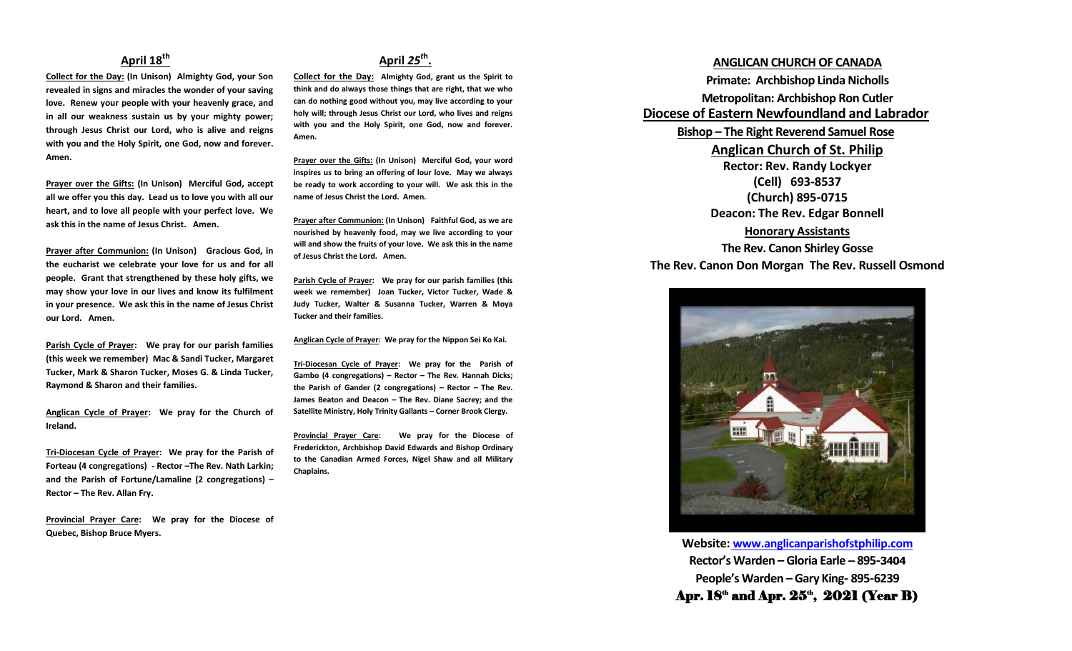## **April 18th**

**Collect for the Day: (In Unison) Almighty God, your Son revealed in signs and miracles the wonder of your saving love. Renew your people with your heavenly grace, and in all our weakness sustain us by your mighty power; through Jesus Christ our Lord, who is alive and reigns with you and the Holy Spirit, one God, now and forever. Amen.**

**Prayer over the Gifts: (In Unison) Merciful God, accept all we offer you this day. Lead us to love you with all our heart, and to love all people with your perfect love. We ask this in the name of Jesus Christ. Amen.**

**Prayer after Communion: (In Unison) Gracious God, in the eucharist we celebrate your love for us and for all people. Grant that strengthened by these holy gifts, we may show your love in our lives and know its fulfilment in your presence. We ask this in the name of Jesus Christ our Lord. Amen.**

**Parish Cycle of Prayer: We pray for our parish families (this week we remember) Mac & Sandi Tucker, Margaret Tucker, Mark & Sharon Tucker, Moses G. & Linda Tucker, Raymond & Sharon and their families.**

**Anglican Cycle of Prayer: We pray for the Church of Ireland.**

**Tri-Diocesan Cycle of Prayer: We pray for the Parish of Forteau (4 congregations) - Rector –The Rev. Nath Larkin; and the Parish of Fortune/Lamaline (2 congregations) – Rector – The Rev. Allan Fry.**

**Provincial Prayer Care: We pray for the Diocese of Quebec, Bishop Bruce Myers.**

# **April** *25<sup>t</sup>***<sup>h</sup> .**

**Collect for the Day: Almighty God, grant us the Spirit to think and do always those things that are right, that we who can do nothing good without you, may live according to your holy will; through Jesus Christ our Lord, who lives and reigns with you and the Holy Spirit, one God, now and forever. Amen.** 

**Prayer over the Gifts: (In Unison) Merciful God, your word inspires us to bring an offering of lour love. May we always be ready to work according to your will. We ask this in the name of Jesus Christ the Lord. Amen.**

**Prayer after Communion: (In Unison) Faithful God, as we are nourished by heavenly food, may we live according to your will and show the fruits of your love. We ask this in the name of Jesus Christ the Lord. Amen.**

**Parish Cycle of Prayer: We pray for our parish families (this week we remember) Joan Tucker, Victor Tucker, Wade & Judy Tucker, Walter & Susanna Tucker, Warren & Moya Tucker and their families.**

**Anglican Cycle of Prayer: We pray for the Nippon Sei Ko Kai.**

**Tri-Diocesan Cycle of Prayer: We pray for the Parish of Gambo (4 congregations) – Rector – The Rev. Hannah Dicks; the Parish of Gander (2 congregations) – Rector – The Rev. James Beaton and Deacon – The Rev. Diane Sacrey; and the Satellite Ministry, Holy Trinity Gallants – Corner Brook Clergy.**

**Provincial Prayer Care: We pray for the Diocese of Frederickton, Archbishop David Edwards and Bishop Ordinary to the Canadian Armed Forces, Nigel Shaw and all Military Chaplains.**

### **ANGLICAN CHURCH OF CANADA**

**Primate: Archbishop Linda Nicholls Metropolitan: Archbishop Ron Cutler Diocese of Eastern Newfoundland and Labrador Bishop – The Right Reverend Samuel Rose Anglican Church of St. Philip Rector: Rev. Randy Lockyer (Cell) 693-8537 (Church) 895-0715 Deacon: The Rev. Edgar Bonnell Honorary Assistants**

**The Rev. Canon Shirley Gosse The Rev. Canon Don Morgan The Rev. Russell Osmond**



**Website: [www.anglicanparishofstphilip.com](http://www.anglicanparishofstphilip.com/) Rector's Warden – Gloria Earle – 895-3404 People's Warden – Gary King- 895-6239** Apr.  $18<sup>th</sup>$  and Apr.  $25<sup>th</sup>$ ,  $2021$  (Year B)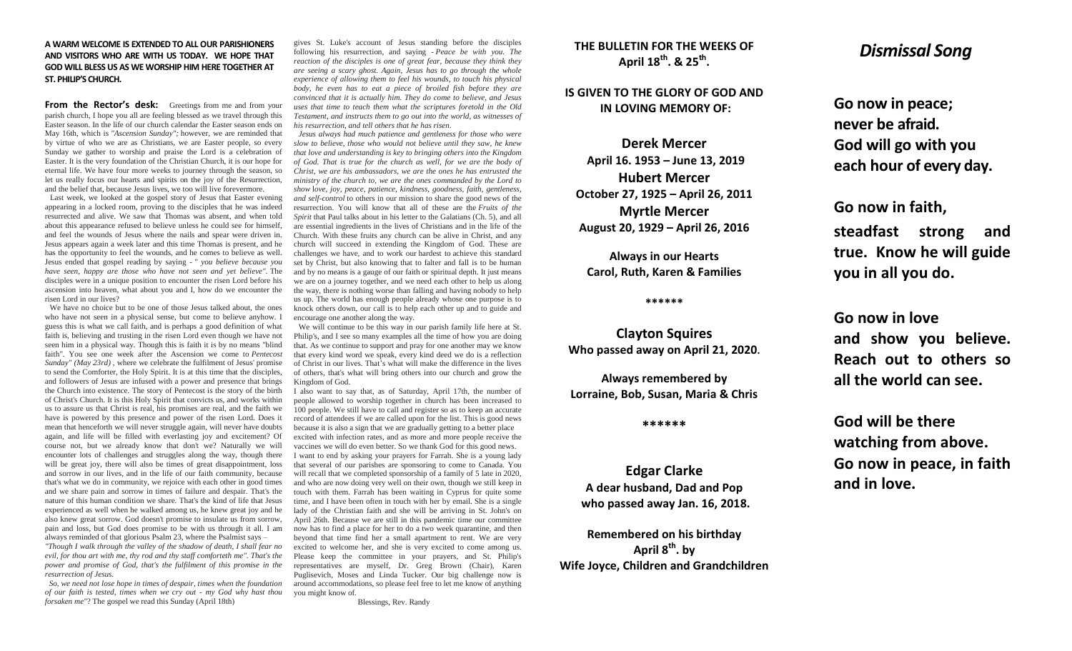#### **A WARM WELCOME IS EXTENDED TO ALL OUR PARISHIONERS AND VISITORS WHO ARE WITH US TODAY. WE HOPE THAT GOD WILL BLESS US AS WE WORSHIP HIM HERE TOGETHER AT ST. PHILIP'S CHURCH.**

From the Rector's desk: Greetings from me and from your parish church, I hope you all are feeling blessed as we travel through this Easter season. In the life of our church calendar the Easter season ends on May 16th, which is *"Ascension Sunday";* however, we are reminded that by virtue of who we are as Christians, we are Easter people, so every Sunday we gather to worship and praise the Lord is a celebration of Easter. It is the very foundation of the Christian Church, it is our hope for eternal life. We have four more weeks to journey through the season, so let us really focus our hearts and spirits on the joy of the Resurrection, and the belief that, because Jesus lives, we too will live forevermore.

Last week, we looked at the gospel story of Jesus that Easter evening appearing in a locked room, proving to the disciples that he was indeed resurrected and alive. We saw that Thomas was absent, and when told about this appearance refused to believe unless he could see for himself, and feel the wounds of Jesus where the nails and spear were driven in. Jesus appears again a week later and this time Thomas is present, and he has the opportunity to feel the wounds, and he comes to believe as well. Jesus ended that gospel reading by saying - *" you believe because you have seen, happy are those who have not seen and yet believe".* The disciples were in a unique position to encounter the risen Lord before his ascension into heaven, what about you and I, how do we encounter the risen Lord in our lives?

We have no choice but to be one of those Jesus talked about, the ones who have not seen in a physical sense, but come to believe anyhow. I guess this is what we call faith, and is perhaps a good definition of what faith is, believing and trusting in the risen Lord even though we have not seen him in a physical way. Though this is faith it is by no means "blind faith". You see one week after the Ascension we come to *Pentecost Sunday" (May 23rd)* , where we celebrate the fulfilment of Jesus' promise to send the Comforter, the Holy Spirit. It is at this time that the disciples, and followers of Jesus are infused with a power and presence that brings the Church into existence. The story of Pentecost is the story of the birth of Christ's Church. It is this Holy Spirit that convicts us, and works within us to assure us that Christ is real, his promises are real, and the faith we have is powered by this presence and power of the risen Lord. Does it mean that henceforth we will never struggle again, will never have doubts again, and life will be filled with everlasting joy and excitement? Of course not, but we already know that don't we? Naturally we will encounter lots of challenges and struggles along the way, though there will be great joy, there will also be times of great disappointment, loss and sorrow in our lives, and in the life of our faith community, because that's what we do in community, we rejoice with each other in good times and we share pain and sorrow in times of failure and despair. That's the nature of this human condition we share. That's the kind of life that Jesus experienced as well when he walked among us, he knew great joy and he also knew great sorrow. God doesn't promise to insulate us from sorrow, pain and loss, but God does promise to be with us through it all. I am always reminded of that glorious Psalm 23, where the Psalmist says –

*"Though I walk through the valley of the shadow of death, I shall fear no evil, for thou art with me, thy rod and thy staff comforteth me". That's the power and promise of God, that's the fulfilment of this promise in the resurrection of Jesus.*

*So, we need not lose hope in times of despair, times when the foundation of our faith is tested, times when we cry out - my God why hast thou forsaken me"*? The gospel we read this Sunday (April 18th)

gives St. Luke's account of Jesus standing before the disciples following his resurrection, and saying - *Peace be with you. The reaction of the disciples is one of great fear, because they think they are seeing a scary ghost. Again, Jesus has to go through the whole experience of allowing them to feel his wounds, to touch his physical body, he even has to eat a piece of broiled fish before they are convinced that it is actually him. They do come to believe, and Jesus uses that time to teach them what the scriptures foretold in the Old Testament, and instructs them to go out into the world, as witnesses of his resurrection, and tell others that he has risen.*

*Jesus always had much patience and gentleness for those who were slow to believe, those who would not believe until they saw, he knew that love and understanding is key to bringing others into the Kingdom of God. That is true for the church as well, for we are the body of Christ, we are his ambassadors, we are the ones he has entrusted the ministry of the church to, we are the ones commanded by the Lord to show* l*ove, joy, peace, patience, kindness, goodness, faith, gentleness, and self-control* to others in our mission to share the good news of the resurrection. You will know that all of these are the *Fruits of the Spirit* that Paul talks about in his letter to the Galatians (Ch. 5), and all are essential ingredients in the lives of Christians and in the life of the Church. With these fruits any church can be alive in Christ, and any church will succeed in extending the Kingdom of God. These are challenges we have, and to work our hardest to achieve this standard set by Christ, but also knowing that to falter and fall is to be human and by no means is a gauge of our faith or spiritual depth. It just means we are on a journey together, and we need each other to help us along the way, there is nothing worse than falling and having nobody to help us up. The world has enough people already whose one purpose is to knock others down, our call is to help each other up and to guide and encourage one another along the way.

We will continue to be this way in our parish family life here at St. Philip's, and I see so many examples all the time of how you are doing that. As we continue to support and pray for one another may we know that every kind word we speak, every kind deed we do is a reflection of Christ in our lives. That's what will make the difference in the lives of others, that's what will bring others into our church and grow the Kingdom of God.

I also want to say that, as of Saturday, April 17th, the number of people allowed to worship together in church has been increased to 100 people. We still have to call and register so as to keep an accurate record of attendees if we are called upon for the list. This is good news because it is also a sign that we are gradually getting to a better place excited with infection rates, and as more and more people receive the vaccines we will do even better. So we thank God for this good news. I want to end by asking your prayers for Farrah. She is a young lady that several of our parishes are sponsoring to come to Canada. You will recall that we completed sponsorship of a family of 5 late in 2020, and who are now doing very well on their own, though we still keep in touch with them. Farrah has been waiting in Cyprus for quite some time, and I have been often in touch with her by email. She is a single lady of the Christian faith and she will be arriving in St. John's on April 26th. Because we are still in this pandemic time our committee now has to find a place for her to do a two week quarantine, and then beyond that time find her a small apartment to rent. We are very excited to welcome her, and she is very excited to come among us. Please keep the committee in your prayers, and St. Philip's representatives are myself, Dr. Greg Brown (Chair), Karen Puglisevich, Moses and Linda Tucker. Our big challenge now is around accommodations, so please feel free to let me know of anything you might know of.

Blessings, Rev. Randy

## **THE BULLETIN FOR THE WEEKS OF April 18th. & 25th .**

**IS GIVEN TO THE GLORY OF GOD AND IN LOVING MEMORY OF:**

**Derek Mercer April 16. 1953 – June 13, 2019 Hubert Mercer October 27, 1925 – April 26, 2011 Myrtle Mercer August 20, 1929 – April 26, 2016**

**Always in our Hearts Carol, Ruth, Karen & Families**

#### **\*\*\*\*\*\***

**Clayton Squires Who passed away on April 21, 2020.**

**Always remembered by Lorraine, Bob, Susan, Maria & Chris**

#### **\*\*\*\*\*\***

**Edgar Clarke A dear husband, Dad and Pop who passed away Jan. 16, 2018.**

**Remembered on his birthday April 8th. by Wife Joyce, Children and Grandchildren**

# *Dismissal Song*

**Go now in peace; never be afraid. God will go with you each hour of every day.**

**Go now in faith, steadfast strong and true. Know he will guide you in all you do.**

**Go now in love and show you believe. Reach out to others so all the world can see.**

**God will be there watching from above. Go now in peace, in faith and in love.**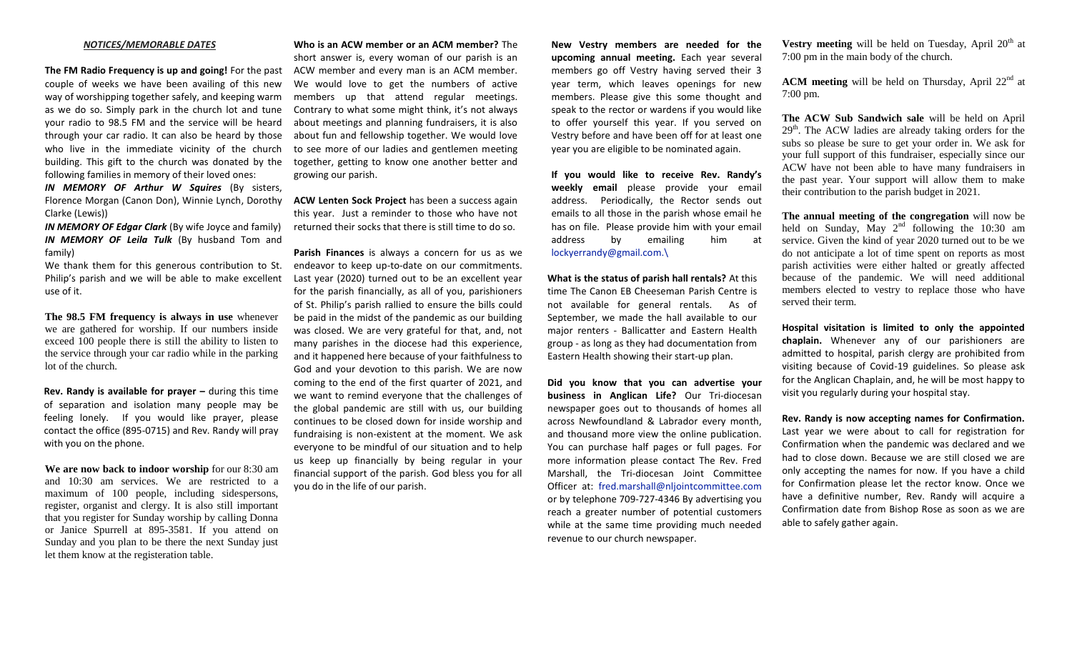#### *NOTICES/MEMORABLE DATES*

**The FM Radio Frequency is up and going!** For the past couple of weeks we have been availing of this new way of worshipping together safely, and keeping warm as we do so. Simply park in the church lot and tune your radio to 98.5 FM and the service will be heard through your car radio. It can also be heard by those who live in the immediate vicinity of the church building. This gift to the church was donated by the following families in memory of their loved ones:

*IN MEMORY OF Arthur W Squires* (By sisters, Florence Morgan (Canon Don), Winnie Lynch, Dorothy Clarke (Lewis))

*IN MEMORY OF Edgar Clark* (By wife Joyce and family) *IN MEMORY OF Leila Tulk* (By husband Tom and family)

We thank them for this generous contribution to St. Philip's parish and we will be able to make excellent use of it.

**The 98.5 FM frequency is always in use** whenever we are gathered for worship. If our numbers inside exceed 100 people there is still the ability to listen to the service through your car radio while in the parking lot of the church.

**Rev. Randy is available for prayer –** during this time of separation and isolation many people may be feeling lonely. If you would like prayer, please contact the office (895-0715) and Rev. Randy will pray with you on the phone.

**We are now back to indoor worship** for our 8:30 am and 10:30 am services. We are restricted to a maximum of 100 people, including sidespersons, register, organist and clergy. It is also still important that you register for Sunday worship by calling Donna or Janice Spurrell at 895-3581. If you attend on Sunday and you plan to be there the next Sunday just let them know at the registeration table.

**Who is an ACW member or an ACM member?** The short answer is, every woman of our parish is an ACW member and every man is an ACM member. We would love to get the numbers of active members up that attend regular meetings. Contrary to what some might think, it's not always about meetings and planning fundraisers, it is also about fun and fellowship together. We would love to see more of our ladies and gentlemen meeting together, getting to know one another better and growing our parish.

**ACW Lenten Sock Project** has been a success again this year. Just a reminder to those who have not returned their socks that there is still time to do so.

**Parish Finances** is always a concern for us as we endeavor to keep up-to-date on our commitments. Last year (2020) turned out to be an excellent year for the parish financially, as all of you, parishioners of St. Philip's parish rallied to ensure the bills could be paid in the midst of the pandemic as our building was closed. We are very grateful for that, and, not many parishes in the diocese had this experience, and it happened here because of your faithfulness to God and your devotion to this parish. We are now coming to the end of the first quarter of 2021, and we want to remind everyone that the challenges of the global pandemic are still with us, our building continues to be closed down for inside worship and fundraising is non-existent at the moment. We ask everyone to be mindful of our situation and to help us keep up financially by being regular in your financial support of the parish. God bless you for all you do in the life of our parish.

**New Vestry members are needed for the upcoming annual meeting.** Each year several members go off Vestry having served their 3 year term, which leaves openings for new members. Please give this some thought and speak to the rector or wardens if you would like to offer yourself this year. If you served on Vestry before and have been off for at least one year you are eligible to be nominated again.

**If you would like to receive Rev. Randy's weekly email** please provide your email address. Periodically, the Rector sends out emails to all those in the parish whose email he has on file. Please provide him with your email address by emailing him at [lockyerrandy@gmail.com.\](mailto:lockyerrandy@gmail.com./)

**What is the status of parish hall rentals?** At this time The Canon EB Cheeseman Parish Centre is not available for general rentals. As of September, we made the hall available to our major renters - Ballicatter and Eastern Health group - as long as they had documentation from Eastern Health showing their start-up plan.

**Did you know that you can advertise your business in Anglican Life?** Our Tri-diocesan newspaper goes out to thousands of homes all across Newfoundland & Labrador every month, and thousand more view the online publication. You can purchase half pages or full pages. For more information please contact The Rev. Fred Marshall, the Tri-diocesan Joint Committee Officer at: [fred.marshall@nljointcommittee.com](mailto:fred.marshall@nljointcommittee.com) or by telephone 709-727-4346 By advertising you reach a greater number of potential customers while at the same time providing much needed revenue to our church newspaper.

**Vestry meeting** will be held on Tuesday, April  $20<sup>th</sup>$  at 7:00 pm in the main body of the church.

**ACM** meeting will be held on Thursday, April  $22^{nd}$  at 7:00 pm.

**The ACW Sub Sandwich sale** will be held on April 29<sup>th</sup>. The ACW ladies are already taking orders for the subs so please be sure to get your order in. We ask for your full support of this fundraiser, especially since our ACW have not been able to have many fundraisers in the past year. Your support will allow them to make their contribution to the parish budget in 2021.

**The annual meeting of the congregation** will now be held on Sunday, May  $2^{nd}$  following the 10:30 am service. Given the kind of year 2020 turned out to be we do not anticipate a lot of time spent on reports as most parish activities were either halted or greatly affected because of the pandemic. We will need additional members elected to vestry to replace those who have served their term.

**Hospital visitation is limited to only the appointed chaplain.** Whenever any of our parishioners are admitted to hospital, parish clergy are prohibited from visiting because of Covid-19 guidelines. So please ask for the Anglican Chaplain, and, he will be most happy to visit you regularly during your hospital stay.

**Rev. Randy is now accepting names for Confirmation.**  Last year we were about to call for registration for Confirmation when the pandemic was declared and we had to close down. Because we are still closed we are only accepting the names for now. If you have a child for Confirmation please let the rector know. Once we have a definitive number, Rev. Randy will acquire a Confirmation date from Bishop Rose as soon as we are able to safely gather again.